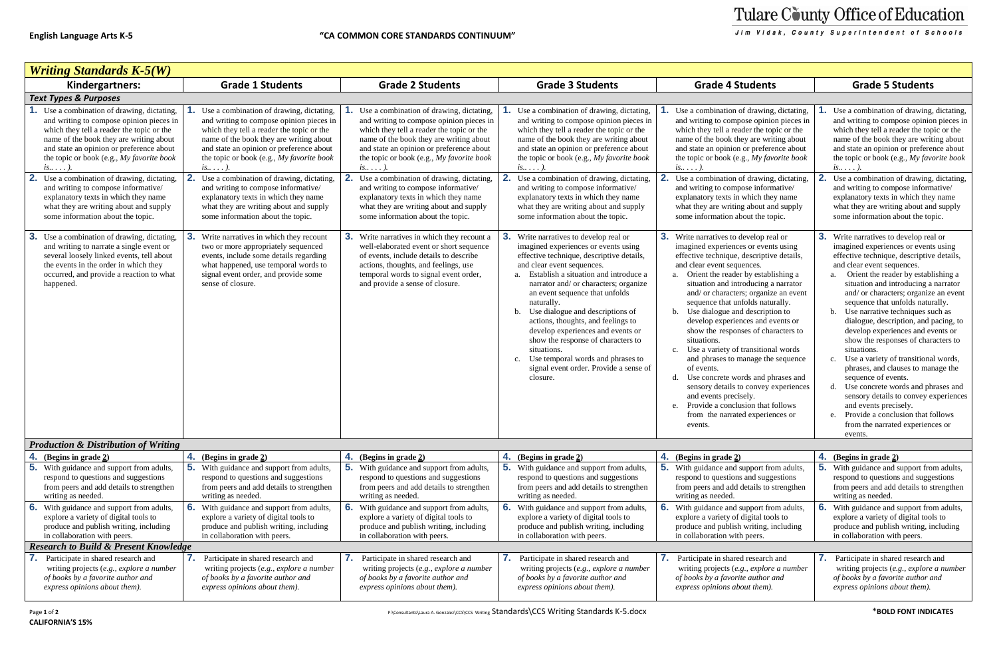## Tulare County Office of Education

Jim Vidak, County Superintendent of Schools

| <b>Writing Standards K-5(W)</b>                                                                                                                                                                                                                                                                                                                                                                        |                                                                                                                                                                                                                                                                                                                                                                                                                 |                                                                                                                                                                                                                                                                                                                                                                                                        |                                                                                                                                                                                                                                                                                                                                                                                                                                                                                                                                                                     |                                                                                                                                                                                                                                                                                                                                                                                                                                                                                                                                                                                                                                                                                                                                                                           |                                                                                                                                                                                                                                                                                                                                                                                                                                                                                                                                                                                                                                                                                                                                                                                                       |  |  |  |
|--------------------------------------------------------------------------------------------------------------------------------------------------------------------------------------------------------------------------------------------------------------------------------------------------------------------------------------------------------------------------------------------------------|-----------------------------------------------------------------------------------------------------------------------------------------------------------------------------------------------------------------------------------------------------------------------------------------------------------------------------------------------------------------------------------------------------------------|--------------------------------------------------------------------------------------------------------------------------------------------------------------------------------------------------------------------------------------------------------------------------------------------------------------------------------------------------------------------------------------------------------|---------------------------------------------------------------------------------------------------------------------------------------------------------------------------------------------------------------------------------------------------------------------------------------------------------------------------------------------------------------------------------------------------------------------------------------------------------------------------------------------------------------------------------------------------------------------|---------------------------------------------------------------------------------------------------------------------------------------------------------------------------------------------------------------------------------------------------------------------------------------------------------------------------------------------------------------------------------------------------------------------------------------------------------------------------------------------------------------------------------------------------------------------------------------------------------------------------------------------------------------------------------------------------------------------------------------------------------------------------|-------------------------------------------------------------------------------------------------------------------------------------------------------------------------------------------------------------------------------------------------------------------------------------------------------------------------------------------------------------------------------------------------------------------------------------------------------------------------------------------------------------------------------------------------------------------------------------------------------------------------------------------------------------------------------------------------------------------------------------------------------------------------------------------------------|--|--|--|
| Kindergartners:                                                                                                                                                                                                                                                                                                                                                                                        | <b>Grade 1 Students</b>                                                                                                                                                                                                                                                                                                                                                                                         | <b>Grade 2 Students</b>                                                                                                                                                                                                                                                                                                                                                                                | <b>Grade 3 Students</b>                                                                                                                                                                                                                                                                                                                                                                                                                                                                                                                                             | <b>Grade 4 Students</b>                                                                                                                                                                                                                                                                                                                                                                                                                                                                                                                                                                                                                                                                                                                                                   | <b>Grade 5 Students</b>                                                                                                                                                                                                                                                                                                                                                                                                                                                                                                                                                                                                                                                                                                                                                                               |  |  |  |
| <b>Text Types &amp; Purposes</b>                                                                                                                                                                                                                                                                                                                                                                       |                                                                                                                                                                                                                                                                                                                                                                                                                 |                                                                                                                                                                                                                                                                                                                                                                                                        |                                                                                                                                                                                                                                                                                                                                                                                                                                                                                                                                                                     |                                                                                                                                                                                                                                                                                                                                                                                                                                                                                                                                                                                                                                                                                                                                                                           |                                                                                                                                                                                                                                                                                                                                                                                                                                                                                                                                                                                                                                                                                                                                                                                                       |  |  |  |
| Use a combination of drawing, dictating,<br>and writing to compose opinion pieces in<br>which they tell a reader the topic or the<br>name of the book they are writing about<br>and state an opinion or preference about<br>the topic or book (e.g., My favorite book<br>is<br>Use a combination of drawing, dictating,<br>and writing to compose informative/<br>explanatory texts in which they name | Use a combination of drawing, dictating,<br>and writing to compose opinion pieces in<br>which they tell a reader the topic or the<br>name of the book they are writing about<br>and state an opinion or preference about<br>the topic or book (e.g., My favorite book<br>$is \ldots$<br>Use a combination of drawing, dictating,<br>and writing to compose informative/<br>explanatory texts in which they name | Use a combination of drawing, dictating,<br>and writing to compose opinion pieces in<br>which they tell a reader the topic or the<br>name of the book they are writing about<br>and state an opinion or preference about<br>the topic or book (e.g., My favorite book<br>is<br>Use a combination of drawing, dictating,<br>and writing to compose informative/<br>explanatory texts in which they name | Use a combination of drawing, dictating,<br>and writing to compose opinion pieces in<br>which they tell a reader the topic or the<br>name of the book they are writing about<br>and state an opinion or preference about<br>the topic or book (e.g., My favorite book<br>$is$ )<br>$\mathbf{2}$<br>Use a combination of drawing, dictating,<br>and writing to compose informative/<br>explanatory texts in which they name                                                                                                                                          | Use a combination of drawing, dictating,<br>and writing to compose opinion pieces in<br>which they tell a reader the topic or the<br>name of the book they are writing about<br>and state an opinion or preference about<br>the topic or book (e.g., My favorite book<br>is<br>Use a combination of drawing, dictating,<br>and writing to compose informative/<br>explanatory texts in which they name                                                                                                                                                                                                                                                                                                                                                                    | Use a combination of drawing, dictating,<br>and writing to compose opinion pieces in<br>which they tell a reader the topic or the<br>name of the book they are writing about<br>and state an opinion or preference about<br>the topic or book (e.g., My favorite book<br>$is$<br>Use a combination of drawing, dictating,<br>and writing to compose informative/<br>explanatory texts in which they name                                                                                                                                                                                                                                                                                                                                                                                              |  |  |  |
| what they are writing about and supply<br>some information about the topic.                                                                                                                                                                                                                                                                                                                            | what they are writing about and supply<br>some information about the topic.                                                                                                                                                                                                                                                                                                                                     | what they are writing about and supply<br>some information about the topic.                                                                                                                                                                                                                                                                                                                            | what they are writing about and supply<br>some information about the topic.                                                                                                                                                                                                                                                                                                                                                                                                                                                                                         | what they are writing about and supply<br>some information about the topic.                                                                                                                                                                                                                                                                                                                                                                                                                                                                                                                                                                                                                                                                                               | what they are writing about and supply<br>some information about the topic.                                                                                                                                                                                                                                                                                                                                                                                                                                                                                                                                                                                                                                                                                                                           |  |  |  |
| 3.<br>Use a combination of drawing, dictating,<br>and writing to narrate a single event or<br>several loosely linked events, tell about<br>the events in the order in which they<br>occurred, and provide a reaction to what<br>happened.                                                                                                                                                              | Write narratives in which they recount<br>two or more appropriately sequenced<br>events, include some details regarding<br>what happened, use temporal words to<br>signal event order, and provide some<br>sense of closure.                                                                                                                                                                                    | 3.<br>Write narratives in which they recount a<br>well-elaborated event or short sequence<br>of events, include details to describe<br>actions, thoughts, and feelings, use<br>temporal words to signal event order,<br>and provide a sense of closure.                                                                                                                                                | 3.<br>Write narratives to develop real or<br>imagined experiences or events using<br>effective technique, descriptive details,<br>and clear event sequences.<br>a. Establish a situation and introduce a<br>narrator and/ or characters; organize<br>an event sequence that unfolds<br>naturally.<br>b. Use dialogue and descriptions of<br>actions, thoughts, and feelings to<br>develop experiences and events or<br>show the response of characters to<br>situations.<br>Use temporal words and phrases to<br>signal event order. Provide a sense of<br>closure. | <b>3.</b> Write narratives to develop real or<br>imagined experiences or events using<br>effective technique, descriptive details,<br>and clear event sequences.<br>Orient the reader by establishing a<br>situation and introducing a narrator<br>and/ or characters; organize an event<br>sequence that unfolds naturally.<br>Use dialogue and description to<br>b.<br>develop experiences and events or<br>show the responses of characters to<br>situations.<br>Use a variety of transitional words<br>c.<br>and phrases to manage the sequence<br>of events.<br>Use concrete words and phrases and<br>d.<br>sensory details to convey experiences<br>and events precisely.<br>Provide a conclusion that follows<br>e.<br>from the narrated experiences or<br>events. | <b>3.</b> Write narratives to develop real or<br>imagined experiences or events using<br>effective technique, descriptive details,<br>and clear event sequences.<br>Orient the reader by establishing a<br>situation and introducing a narrator<br>and/ or characters; organize an event<br>sequence that unfolds naturally.<br>Use narrative techniques such as<br>dialogue, description, and pacing, to<br>develop experiences and events or<br>show the responses of characters to<br>situations.<br>Use a variety of transitional words,<br>phrases, and clauses to manage the<br>sequence of events.<br>Use concrete words and phrases and<br>sensory details to convey experiences<br>and events precisely.<br>Provide a conclusion that follows<br>from the narrated experiences or<br>events. |  |  |  |
| <b>Production &amp; Distribution of Writing</b>                                                                                                                                                                                                                                                                                                                                                        |                                                                                                                                                                                                                                                                                                                                                                                                                 |                                                                                                                                                                                                                                                                                                                                                                                                        |                                                                                                                                                                                                                                                                                                                                                                                                                                                                                                                                                                     |                                                                                                                                                                                                                                                                                                                                                                                                                                                                                                                                                                                                                                                                                                                                                                           |                                                                                                                                                                                                                                                                                                                                                                                                                                                                                                                                                                                                                                                                                                                                                                                                       |  |  |  |
| (Begins in grade 2)                                                                                                                                                                                                                                                                                                                                                                                    | 4. (Begins in grade 2)                                                                                                                                                                                                                                                                                                                                                                                          | (Begins in grade 2)<br>4.                                                                                                                                                                                                                                                                                                                                                                              | 4. (Begins in grade $2$ )                                                                                                                                                                                                                                                                                                                                                                                                                                                                                                                                           | 4. (Begins in grade $2$ )                                                                                                                                                                                                                                                                                                                                                                                                                                                                                                                                                                                                                                                                                                                                                 | 4. (Begins in grade 2)                                                                                                                                                                                                                                                                                                                                                                                                                                                                                                                                                                                                                                                                                                                                                                                |  |  |  |
| With guidance and support from adults,<br>5<br>respond to questions and suggestions<br>from peers and add details to strengthen<br>writing as needed.                                                                                                                                                                                                                                                  | <b>5.</b> With guidance and support from adults,<br>respond to questions and suggestions<br>from peers and add details to strengthen<br>writing as needed.                                                                                                                                                                                                                                                      | With guidance and support from adults,<br>respond to questions and suggestions<br>from peers and add details to strengthen<br>writing as needed.                                                                                                                                                                                                                                                       | 5.<br>With guidance and support from adults,<br>respond to questions and suggestions<br>from peers and add details to strengthen<br>writing as needed.                                                                                                                                                                                                                                                                                                                                                                                                              | With guidance and support from adults,<br>respond to questions and suggestions<br>from peers and add details to strengthen<br>writing as needed.                                                                                                                                                                                                                                                                                                                                                                                                                                                                                                                                                                                                                          | With guidance and support from adults,<br>respond to questions and suggestions<br>from peers and add details to strengthen<br>writing as needed.                                                                                                                                                                                                                                                                                                                                                                                                                                                                                                                                                                                                                                                      |  |  |  |
| 6.<br>With guidance and support from adults,<br>explore a variety of digital tools to<br>produce and publish writing, including<br>in collaboration with peers.                                                                                                                                                                                                                                        | <b>6.</b> With guidance and support from adults,<br>explore a variety of digital tools to<br>produce and publish writing, including<br>in collaboration with peers.                                                                                                                                                                                                                                             | 6.<br>With guidance and support from adults,<br>explore a variety of digital tools to<br>produce and publish writing, including<br>in collaboration with peers.                                                                                                                                                                                                                                        | <b>6.</b> With guidance and support from adults,<br>explore a variety of digital tools to<br>produce and publish writing, including<br>in collaboration with peers.                                                                                                                                                                                                                                                                                                                                                                                                 | <b>6.</b> With guidance and support from adults,<br>explore a variety of digital tools to<br>produce and publish writing, including<br>in collaboration with peers.                                                                                                                                                                                                                                                                                                                                                                                                                                                                                                                                                                                                       | <b>6.</b> With guidance and support from adults,<br>explore a variety of digital tools to<br>produce and publish writing, including<br>in collaboration with peers.                                                                                                                                                                                                                                                                                                                                                                                                                                                                                                                                                                                                                                   |  |  |  |
| <b>Research to Build &amp; Present Knowledge</b>                                                                                                                                                                                                                                                                                                                                                       |                                                                                                                                                                                                                                                                                                                                                                                                                 |                                                                                                                                                                                                                                                                                                                                                                                                        |                                                                                                                                                                                                                                                                                                                                                                                                                                                                                                                                                                     |                                                                                                                                                                                                                                                                                                                                                                                                                                                                                                                                                                                                                                                                                                                                                                           |                                                                                                                                                                                                                                                                                                                                                                                                                                                                                                                                                                                                                                                                                                                                                                                                       |  |  |  |
| Participate in shared research and<br>writing projects (e.g., explore a number<br>of books by a favorite author and<br>express opinions about them).                                                                                                                                                                                                                                                   | Participate in shared research and<br>7.<br>writing projects (e.g., explore a number<br>of books by a favorite author and<br>express opinions about them).                                                                                                                                                                                                                                                      | Participate in shared research and<br>writing projects (e.g., explore a number<br>of books by a favorite author and<br>express opinions about them).                                                                                                                                                                                                                                                   | Participate in shared research and<br>7.<br>writing projects (e.g., explore a number<br>of books by a favorite author and<br>express opinions about them).                                                                                                                                                                                                                                                                                                                                                                                                          | Participate in shared research and<br>7.<br>writing projects (e.g., explore a number<br>of books by a favorite author and<br>express opinions about them).                                                                                                                                                                                                                                                                                                                                                                                                                                                                                                                                                                                                                | <b>7.</b> Participate in shared research and<br>writing projects (e.g., explore a number<br>of books by a favorite author and<br>express opinions about them).                                                                                                                                                                                                                                                                                                                                                                                                                                                                                                                                                                                                                                        |  |  |  |